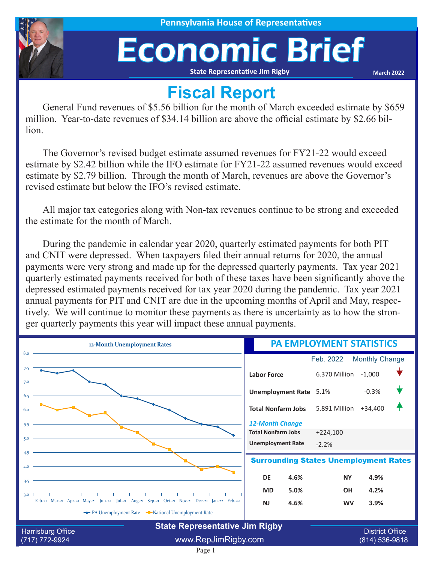

# Economic Brief

**State Representative Jim Rigby**

**March 2022**

## **Fiscal Report**

General Fund revenues of \$5.56 billion for the month of March exceeded estimate by \$659 million. Year-to-date revenues of \$34.14 billion are above the official estimate by \$2.66 billion.

The Governor's revised budget estimate assumed revenues for FY21-22 would exceed estimate by \$2.42 billion while the IFO estimate for FY21-22 assumed revenues would exceed estimate by \$2.79 billion. Through the month of March, revenues are above the Governor's revised estimate but below the IFO's revised estimate.

All major tax categories along with Non-tax revenues continue to be strong and exceeded the estimate for the month of March.

During the pandemic in calendar year 2020, quarterly estimated payments for both PIT and CNIT were depressed. When taxpayers filed their annual returns for 2020, the annual payments were very strong and made up for the depressed quarterly payments. Tax year 2021 quarterly estimated payments received for both of these taxes have been significantly above the depressed estimated payments received for tax year 2020 during the pandemic. Tax year 2021 annual payments for PIT and CNIT are due in the upcoming months of April and May, respectively. We will continue to monitor these payments as there is uncertainty as to how the stronger quarterly payments this year will impact these annual payments.

| 12-Month Unemployment Rates                                                                       | <b>PA EMPLOYMENT STATISTICS</b>                         |
|---------------------------------------------------------------------------------------------------|---------------------------------------------------------|
| 8.0                                                                                               | <b>Monthly Change</b><br>Feb. 2022                      |
| 7.5                                                                                               | 6.370 Million<br>$-1,000$<br><b>Labor Force</b>         |
| 6.5                                                                                               | $-0.3%$<br>Unemployment Rate 5.1%                       |
|                                                                                                   | 5.891 Million<br>$+34,400$<br><b>Total Nonfarm Jobs</b> |
| 5.5                                                                                               | <b>12-Month Change</b>                                  |
|                                                                                                   | <b>Total Nonfarm Jobs</b><br>$+224,100$                 |
| 5.0                                                                                               | <b>Unemployment Rate</b><br>$-2.2%$                     |
| 4.5<br>4.0                                                                                        | <b>Surrounding States Unemployment Rates</b>            |
| 3.5                                                                                               | <b>DE</b><br>4.6%<br><b>NY</b><br>4.9%                  |
|                                                                                                   | 5.0%<br><b>MD</b><br><b>OH</b><br>4.2%                  |
| 3.0<br>Feb-21 Mar-21 Apr-21 May-21 Jun-21 Jul-21 Aug-21 Sep-21 Oct-21 Nov-21 Dec-21 Jan-22 Feb-22 | <b>NJ</b><br>4.6%<br><b>WV</b><br>3.9%                  |
| The PA Unemployment Rate The National Unemployment Rate                                           |                                                         |
| <b>State Representative Jim Rigby</b>                                                             |                                                         |
| Harrisburg Office<br>www.RepJimRigby.com<br>(717) 772-9924                                        | <b>District Office</b><br>(814) 536-9818                |